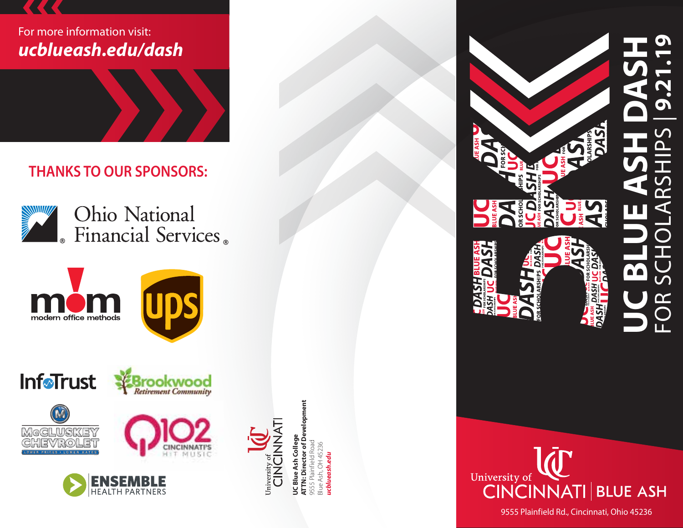# For more information visit: *ucblueash.edu/dash*

 **THANKS TO OUR SPONSORS:**





EN

**HEALTH PARTN** 











**ATTN: Director of Development UC Blue Ash College** 9555 Plainfield Road Blue Ash, OH 45236 *ucblueash.edu* ucblı